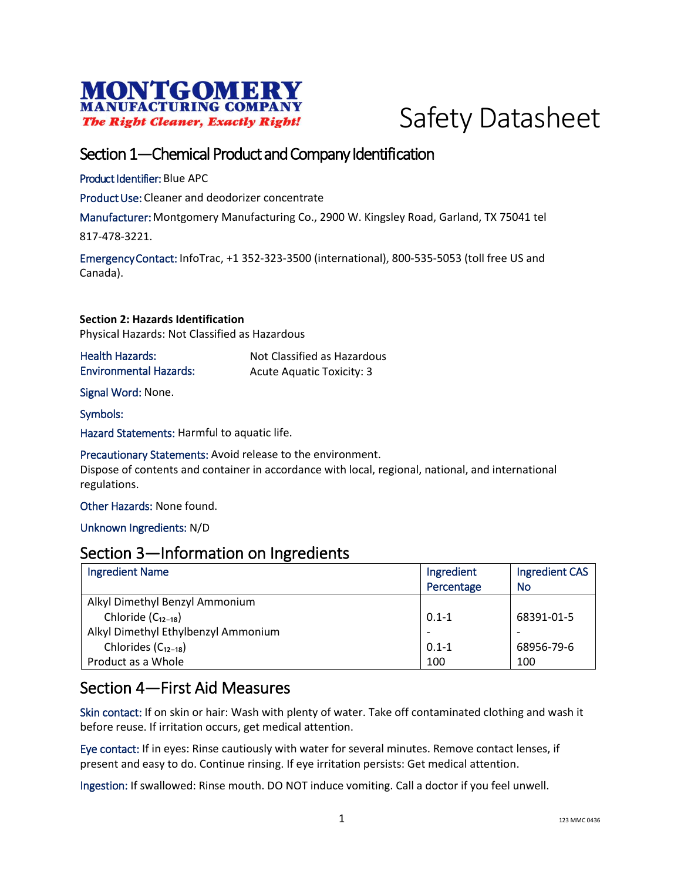



## Section 1—Chemical Product and Company Identification

Product Identifier: Blue APC

Product Use: Cleaner and deodorizer concentrate

Manufacturer: Montgomery Manufacturing Co., 2900 W. Kingsley Road, Garland, TX 75041 tel

817-478-3221.

Emergency Contact: InfoTrac, +1 352-323-3500 (international), 800-535-5053 (toll free US and Canada).

**Section 2: Hazards Identification** Physical Hazards: Not Classified as Hazardous

| Health Hazards:               | Not Classified as Hazardous      |
|-------------------------------|----------------------------------|
| <b>Environmental Hazards:</b> | <b>Acute Aquatic Toxicity: 3</b> |

Signal Word: None.

Symbols:

Hazard Statements: Harmful to aquatic life.

Precautionary Statements: Avoid release to the environment.

Dispose of contents and container in accordance with local, regional, national, and international regulations.

Other Hazards: None found.

Unknown Ingredients: N/D

### Section 3—Information on Ingredients

| <b>Ingredient Name</b>              | Ingredient | <b>Ingredient CAS</b> |
|-------------------------------------|------------|-----------------------|
|                                     | Percentage | <b>No</b>             |
| Alkyl Dimethyl Benzyl Ammonium      |            |                       |
| Chloride $(C_{12-18})$              | $0.1 - 1$  | 68391-01-5            |
| Alkyl Dimethyl Ethylbenzyl Ammonium |            |                       |
| Chlorides $(C_{12-18})$             | $0.1 - 1$  | 68956-79-6            |
| Product as a Whole                  | 100        | 100                   |

## Section 4—First Aid Measures

Skin contact: If on skin or hair: Wash with plenty of water. Take off contaminated clothing and wash it before reuse. If irritation occurs, get medical attention.

Eye contact: If in eyes: Rinse cautiously with water for several minutes. Remove contact lenses, if present and easy to do. Continue rinsing. If eye irritation persists: Get medical attention.

Ingestion: If swallowed: Rinse mouth. DO NOT induce vomiting. Call a doctor if you feel unwell.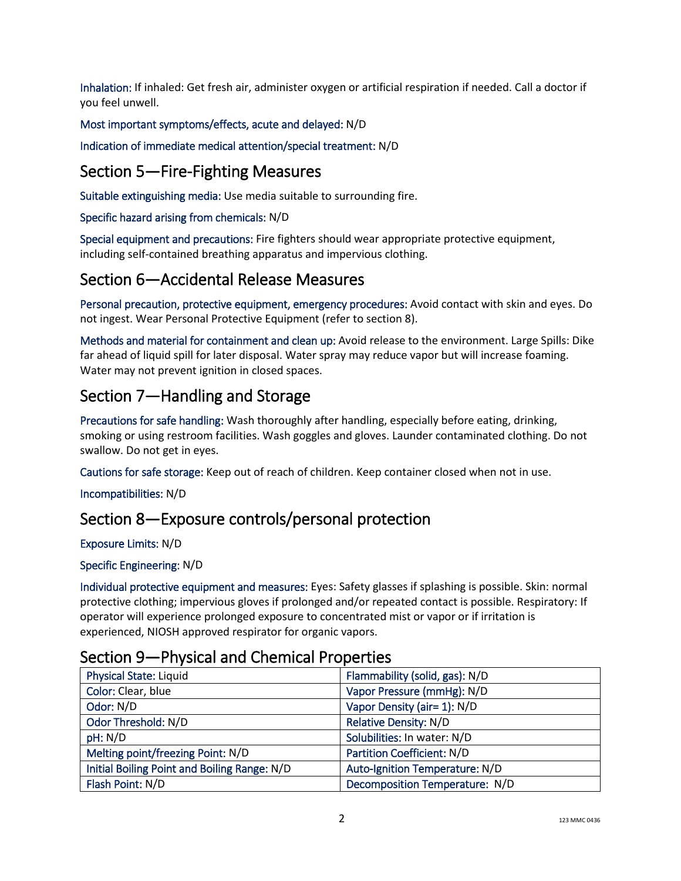Inhalation: If inhaled: Get fresh air, administer oxygen or artificial respiration if needed. Call a doctor if you feel unwell.

Most important symptoms/effects, acute and delayed: N/D

Indication of immediate medical attention/special treatment: N/D

# Section 5—Fire-Fighting Measures

Suitable extinguishing media: Use media suitable to surrounding fire.

#### Specific hazard arising from chemicals: N/D

Special equipment and precautions: Fire fighters should wear appropriate protective equipment, including self-contained breathing apparatus and impervious clothing.

## Section 6—Accidental Release Measures

Personal precaution, protective equipment, emergency procedures: Avoid contact with skin and eyes. Do not ingest. Wear Personal Protective Equipment (refer to section 8).

Methods and material for containment and clean up: Avoid release to the environment. Large Spills: Dike far ahead of liquid spill for later disposal. Water spray may reduce vapor but will increase foaming. Water may not prevent ignition in closed spaces.

# Section 7—Handling and Storage

Precautions for safe handling: Wash thoroughly after handling, especially before eating, drinking, smoking or using restroom facilities. Wash goggles and gloves. Launder contaminated clothing. Do not swallow. Do not get in eyes.

Cautions for safe storage: Keep out of reach of children. Keep container closed when not in use.

Incompatibilities: N/D

## Section 8—Exposure controls/personal protection

Exposure Limits: N/D

#### Specific Engineering: N/D

Individual protective equipment and measures: Eyes: Safety glasses if splashing is possible. Skin: normal protective clothing; impervious gloves if prolonged and/or repeated contact is possible. Respiratory: If operator will experience prolonged exposure to concentrated mist or vapor or if irritation is experienced, NIOSH approved respirator for organic vapors.

## Section 9—Physical and Chemical Properties

| <b>Physical State: Liquid</b>                | Flammability (solid, gas): N/D    |
|----------------------------------------------|-----------------------------------|
| Color: Clear, blue                           | Vapor Pressure (mmHg): N/D        |
| Odor: N/D                                    | Vapor Density (air= 1): N/D       |
| Odor Threshold: N/D                          | <b>Relative Density: N/D</b>      |
| pH: N/D                                      | Solubilities: In water: N/D       |
| Melting point/freezing Point: N/D            | <b>Partition Coefficient: N/D</b> |
| Initial Boiling Point and Boiling Range: N/D | Auto-Ignition Temperature: N/D    |
| Flash Point: N/D                             | Decomposition Temperature: N/D    |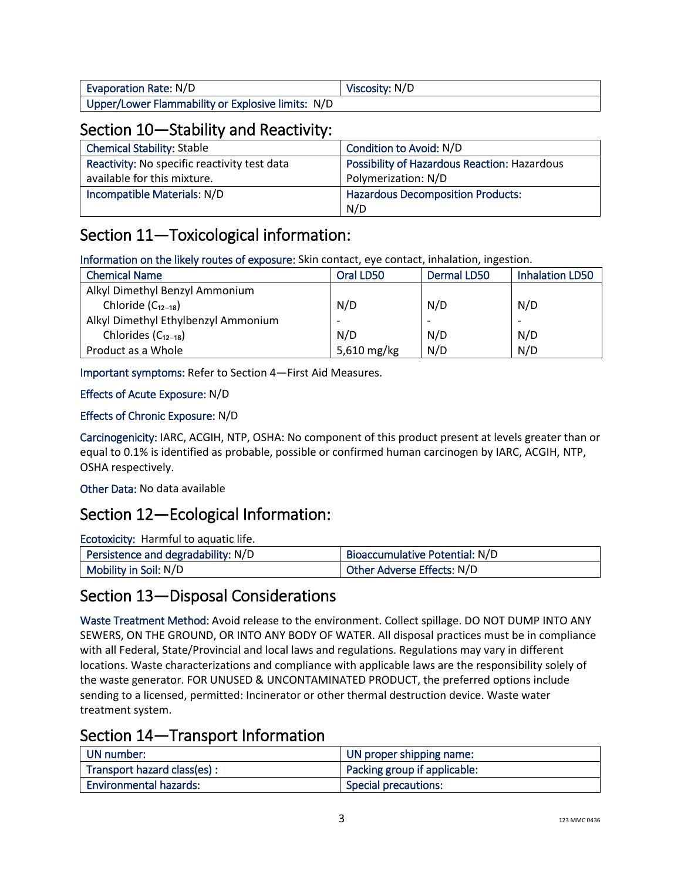| Evaporation Rate: N/D                             | Viscosity: N/D |
|---------------------------------------------------|----------------|
| Upper/Lower Flammability or Explosive limits: N/D |                |

## Section 10—Stability and Reactivity:

| <b>Chemical Stability: Stable</b>            | Condition to Avoid: N/D                             |
|----------------------------------------------|-----------------------------------------------------|
| Reactivity: No specific reactivity test data | <b>Possibility of Hazardous Reaction: Hazardous</b> |
| available for this mixture.                  | Polymerization: N/D                                 |
| Incompatible Materials: N/D                  | <b>Hazardous Decomposition Products:</b>            |
|                                              | N/D                                                 |

# Section 11—Toxicological information:

Information on the likely routes of exposure: Skin contact, eye contact, inhalation, ingestion.

| <b>Chemical Name</b>                | Oral LD50   | <b>Dermal LD50</b> | <b>Inhalation LD50</b> |
|-------------------------------------|-------------|--------------------|------------------------|
| Alkyl Dimethyl Benzyl Ammonium      |             |                    |                        |
| Chloride $(C_{12-18})$              | N/D         | N/D                | N/D                    |
| Alkyl Dimethyl Ethylbenzyl Ammonium |             |                    |                        |
| Chlorides $(C_{12-18})$             | N/D         | N/D                | N/D                    |
| Product as a Whole                  | 5,610 mg/kg | N/D                | N/D                    |

Important symptoms: Refer to Section 4—First Aid Measures.

### Effects of Acute Exposure: N/D

### Effects of Chronic Exposure: N/D

Carcinogenicity: IARC, ACGIH, NTP, OSHA: No component of this product present at levels greater than or equal to 0.1% is identified as probable, possible or confirmed human carcinogen by IARC, ACGIH, NTP, OSHA respectively.

Other Data: No data available

# Section 12—Ecological Information:

Ecotoxicity: Harmful to aquatic life.

| Persistence and degradability: N/D | Bioaccumulative Potential: N/D |
|------------------------------------|--------------------------------|
| Mobility in Soil: N/D              | Other Adverse Effects: N/D     |

## Section 13—Disposal Considerations

Waste Treatment Method: Avoid release to the environment. Collect spillage. DO NOT DUMP INTO ANY SEWERS, ON THE GROUND, OR INTO ANY BODY OF WATER. All disposal practices must be in compliance with all Federal, State/Provincial and local laws and regulations. Regulations may vary in different locations. Waste characterizations and compliance with applicable laws are the responsibility solely of the waste generator. FOR UNUSED & UNCONTAMINATED PRODUCT, the preferred options include sending to a licensed, permitted: Incinerator or other thermal destruction device. Waste water treatment system.

## Section 14—Transport Information

| UN number:                    | UN proper shipping name:     |
|-------------------------------|------------------------------|
| Transport hazard class(es) :  | Packing group if applicable: |
| <b>Environmental hazards:</b> | Special precautions:         |